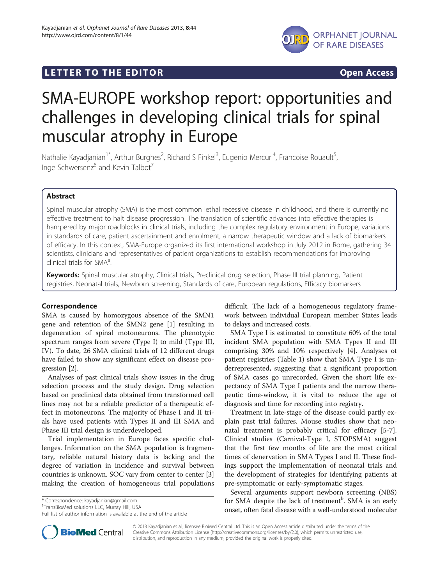



# SMA-EUROPE workshop report: opportunities and challenges in developing clinical trials for spinal muscular atrophy in Europe

Nathalie Kayadjanian<sup>1\*</sup>, Arthur Burghes<sup>2</sup>, Richard S Finkel<sup>3</sup>, Eugenio Mercuri<sup>4</sup>, Francoise Rouault<sup>5</sup> , Inge Schwersenz<sup>6</sup> and Kevin Talbot<sup>7</sup>

# Abstract

Spinal muscular atrophy (SMA) is the most common lethal recessive disease in childhood, and there is currently no effective treatment to halt disease progression. The translation of scientific advances into effective therapies is hampered by major roadblocks in clinical trials, including the complex regulatory environment in Europe, variations in standards of care, patient ascertainment and enrolment, a narrow therapeutic window and a lack of biomarkers of efficacy. In this context, SMA-Europe organized its first international workshop in July 2012 in Rome, gathering 34 scientists, clinicians and representatives of patient organizations to establish recommendations for improving clinical trials for  $SMA<sup>a</sup>$ . .

Keywords: Spinal muscular atrophy, Clinical trials, Preclinical drug selection, Phase III trial planning, Patient registries, Neonatal trials, Newborn screening, Standards of care, European regulations, Efficacy biomarkers

# Correspondence

SMA is caused by homozygous absence of the SMN1 gene and retention of the SMN2 gene [[1\]](#page-2-0) resulting in degeneration of spinal motoneurons. The phenotypic spectrum ranges from severe (Type I) to mild (Type III, IV). To date, 26 SMA clinical trials of 12 different drugs have failed to show any significant effect on disease progression [\[2](#page-2-0)].

Analyses of past clinical trials show issues in the drug selection process and the study design. Drug selection based on preclinical data obtained from transformed cell lines may not be a reliable predictor of a therapeutic effect in motoneurons. The majority of Phase I and II trials have used patients with Types II and III SMA and Phase III trial design is underdeveloped.

Trial implementation in Europe faces specific challenges. Information on the SMA population is fragmentary, reliable natural history data is lacking and the degree of variation in incidence and survival between countries is unknown. SOC vary from center to center [[3](#page-2-0)] making the creation of homogeneous trial populations

\* Correspondence: [kayadjanian@gmail.com](mailto:kayadjanian@gmail.com) <sup>1</sup>

<sup>1</sup>TransBioMed solutions LLC, Murray Hill, USA

difficult. The lack of a homogeneous regulatory framework between individual European member States leads to delays and increased costs.

SMA Type I is estimated to constitute 60% of the total incident SMA population with SMA Types II and III comprising 30% and 10% respectively [[4\]](#page-2-0). Analyses of patient registries (Table [1\)](#page-1-0) show that SMA Type I is underrepresented, suggesting that a significant proportion of SMA cases go unrecorded. Given the short life expectancy of SMA Type I patients and the narrow therapeutic time-window, it is vital to reduce the age of diagnosis and time for recording into registry.

Treatment in late-stage of the disease could partly explain past trial failures. Mouse studies show that neonatal treatment is probably critical for efficacy [[5-7](#page-2-0)]. Clinical studies (Carnival-Type I, STOPSMA) suggest that the first few months of life are the most critical times of denervation in SMA Types I and II. These findings support the implementation of neonatal trials and the development of strategies for identifying patients at pre-symptomatic or early-symptomatic stages.

Several arguments support newborn screening (NBS) for SMA despite the lack of treatment<sup>b</sup>. SMA is an early onset, often fatal disease with a well-understood molecular



© 2013 Kayadjanian et al.; licensee BioMed Central Ltd. This is an Open Access article distributed under the terms of the Creative Commons Attribution License (<http://creativecommons.org/licenses/by/2.0>), which permits unrestricted use, distribution, and reproduction in any medium, provided the original work is properly cited.

Full list of author information is available at the end of the article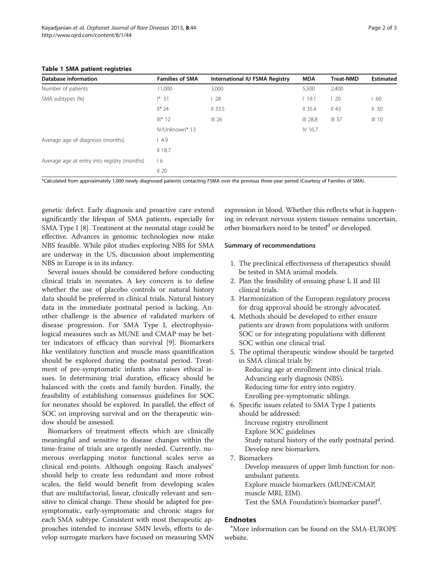| <b>Database information</b>                 | <b>Families of SMA</b> | International IU FSMA Registry | <b>MDA</b> | <b>Treat-NMD</b> | Estimated |
|---------------------------------------------|------------------------|--------------------------------|------------|------------------|-----------|
| Number of patients                          | 11,000                 | 3,000                          | 5,500      | 2,400            |           |
| SMA subtypes (%)                            | $1* 51$                | -28                            | 119.1      | $\frac{1}{20}$   | -60       |
|                                             | $  * 24$               | 33.5                           | 35.4       | $II$ 43          | $II$ 30   |
|                                             | $III*12$               | III <sub>26</sub>              | $III$ 28.8 | $III$ 37         | $III$ 10  |
|                                             | IV/Unknown*13          |                                | IV 16.7    |                  |           |
| Average age of diagnosis (months)           | 4.9                    |                                |            |                  |           |
|                                             | 18.7                   |                                |            |                  |           |
| Average age at entry into registry (months) | l 6                    |                                |            |                  |           |
|                                             | $II$ 20                |                                |            |                  |           |

## <span id="page-1-0"></span>Table 1 SMA patient registries

\*Calculated from approximately 1,000 newly diagnosed patients contacting FSMA over the previous three-year period (Courtesy of Families of SMA).

genetic defect. Early diagnosis and proactive care extend significantly the lifespan of SMA patients, especially for SMA Type I [\[8](#page-2-0)]. Treatment at the neonatal stage could be effective. Advances in genomic technologies now make NBS feasible. While pilot studies exploring NBS for SMA are underway in the US, discussion about implementing NBS in Europe is in its infancy.

Several issues should be considered before conducting clinical trials in neonates. A key concern is to define whether the use of placebo controls or natural history data should be preferred in clinical trials. Natural history data in the immediate postnatal period is lacking. Another challenge is the absence of validated markers of disease progression. For SMA Type I, electrophysiological measures such as MUNE and CMAP may be better indicators of efficacy than survival [[9\]](#page-2-0). Biomarkers like ventilatory function and muscle mass quantification should be explored during the postnatal period. Treatment of pre-symptomatic infants also raises ethical issues. In determining trial duration, efficacy should be balanced with the costs and family burden. Finally, the feasibility of establishing consensus guidelines for SOC for neonates should be explored. In parallel, the effect of SOC on improving survival and on the therapeutic window should be assessed.

Biomarkers of treatment effects which are clinically meaningful and sensitive to disease changes within the time-frame of trials are urgently needed. Currently, numerous overlapping motor functional scales serve as clinical end-points. Although ongoing Rasch analyses $<sup>c</sup>$ </sup> should help to create less redundant and more robust scales, the field would benefit from developing scales that are multifactorial, linear, clinically relevant and sensitive to clinical change. These should be adapted for presymptomatic, early-symptomatic and chronic stages for each SMA subtype. Consistent with most therapeutic approaches intended to increase SMN levels, efforts to develop surrogate markers have focused on measuring SMN expression in blood. Whether this reflects what is happening in relevant nervous system tissues remains uncertain, other biomarkers need to be tested<sup>d</sup> or developed.

## Summary of recommendations

- 1. The preclinical effectiveness of therapeutics should be tested in SMA animal models.
- 2. Plan the feasibility of ensuing phase I, II and III clinical trials.
- 3. Harmonization of the European regulatory process for drug approval should be strongly advocated.
- 4. Methods should be developed to either ensure patients are drawn from populations with uniform SOC or for integrating populations with different SOC within one clinical trial.
- 5. The optimal therapeutic window should be targeted in SMA clinical trials by: Reducing age at enrollment into clinical trials. Advancing early diagnosis (NBS). Reducing time for entry into registry. Enrolling pre-symptomatic siblings.
- 6. Specific issues related to SMA Type I patients should be addressed: Increase registry enrollment
	- Explore SOC guidelines

Study natural history of the early postnatal period. Develop new biomarkers.

7. Biomarkers

Develop measures of upper limb function for nonambulant patients.

Explore muscle biomarkers (MUNE/CMAP,

muscle MRI, EIM).

Test the SMA Foundation's biomarker panel<sup>d</sup>.

# **Endnotes**

More information can be found on the SMA-EUROPE website.